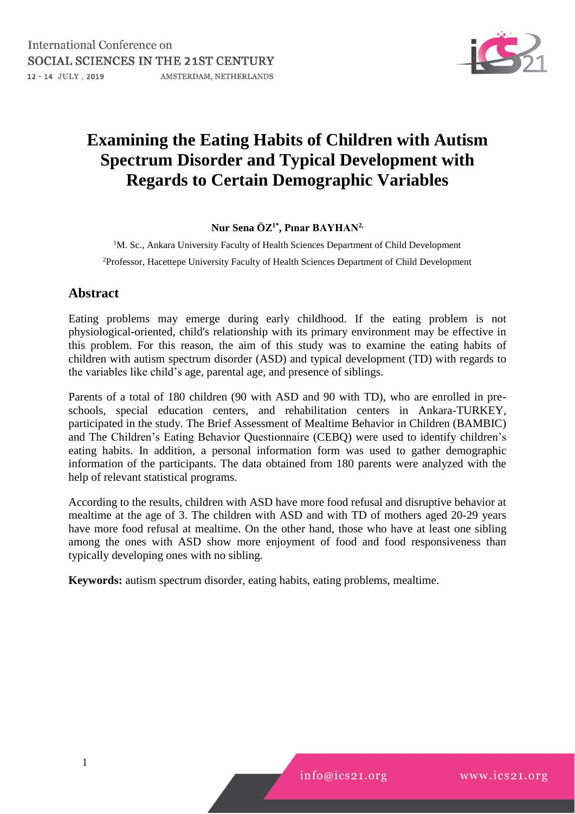

# **Examining the Eating Habits of Children with Autism Spectrum Disorder and Typical Development with Regards to Certain Demographic Variables**

## **Nur Sena ÖZ1\* , Pınar BAYHAN2,**

<sup>1</sup>M. Sc., Ankara University Faculty of Health Sciences Department of Child Development <sup>2</sup>Professor, Hacettepe University Faculty of Health Sciences Department of Child Development

## **Abstract**

Eating problems may emerge during early childhood. If the eating problem is not physiological-oriented, child's relationship with its primary environment may be effective in this problem. For this reason, the aim of this study was to examine the eating habits of children with autism spectrum disorder (ASD) and typical development (TD) with regards to the variables like child's age, parental age, and presence of siblings.

Parents of a total of 180 children (90 with ASD and 90 with TD), who are enrolled in preschools, special education centers, and rehabilitation centers in Ankara-TURKEY, participated in the study. The Brief Assessment of Mealtime Behavior in Children (BAMBIC) and The Children's Eating Behavior Questionnaire (CEBQ) were used to identify children's eating habits. In addition, a personal information form was used to gather demographic information of the participants. The data obtained from 180 parents were analyzed with the help of relevant statistical programs.

According to the results, children with ASD have more food refusal and disruptive behavior at mealtime at the age of 3. The children with ASD and with TD of mothers aged 20-29 years have more food refusal at mealtime. On the other hand, those who have at least one sibling among the ones with ASD show more enjoyment of food and food responsiveness than typically developing ones with no sibling.

**Keywords:** autism spectrum disorder, eating habits, eating problems, mealtime.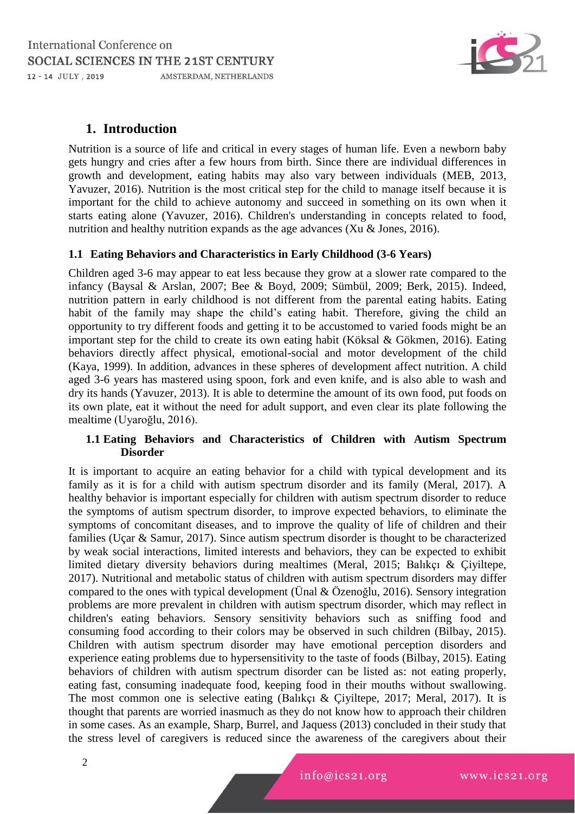

## **1. Introduction**

Nutrition is a source of life and critical in every stages of human life. Even a newborn baby gets hungry and cries after a few hours from birth. Since there are individual differences in growth and development, eating habits may also vary between individuals (MEB, 2013, Yavuzer, 2016). Nutrition is the most critical step for the child to manage itself because it is important for the child to achieve autonomy and succeed in something on its own when it starts eating alone (Yavuzer, 2016). Children's understanding in concepts related to food, nutrition and healthy nutrition expands as the age advances (Xu  $\&$  Jones, 2016).

#### **1.1 Eating Behaviors and Characteristics in Early Childhood (3-6 Years)**

Children aged 3-6 may appear to eat less because they grow at a slower rate compared to the infancy (Baysal & Arslan, 2007; Bee & Boyd, 2009; Sümbül, 2009; Berk, 2015). Indeed, nutrition pattern in early childhood is not different from the parental eating habits. Eating habit of the family may shape the child's eating habit. Therefore, giving the child an opportunity to try different foods and getting it to be accustomed to varied foods might be an important step for the child to create its own eating habit (Köksal & Gökmen, 2016). Eating behaviors directly affect physical, emotional-social and motor development of the child (Kaya, 1999). In addition, advances in these spheres of development affect nutrition. A child aged 3-6 years has mastered using spoon, fork and even knife, and is also able to wash and dry its hands (Yavuzer, 2013). It is able to determine the amount of its own food, put foods on its own plate, eat it without the need for adult support, and even clear its plate following the mealtime (Uyaroğlu, 2016).

#### **1.1 Eating Behaviors and Characteristics of Children with Autism Spectrum Disorder**

It is important to acquire an eating behavior for a child with typical development and its family as it is for a child with autism spectrum disorder and its family (Meral, 2017). A healthy behavior is important especially for children with autism spectrum disorder to reduce the symptoms of autism spectrum disorder, to improve expected behaviors, to eliminate the symptoms of concomitant diseases, and to improve the quality of life of children and their families (Uçar & Samur, 2017). Since autism spectrum disorder is thought to be characterized by weak social interactions, limited interests and behaviors, they can be expected to exhibit limited dietary diversity behaviors during mealtimes (Meral, 2015; Balıkçı & Çiyiltepe, 2017). Nutritional and metabolic status of children with autism spectrum disorders may differ compared to the ones with typical development (Ünal & Özenoğlu, 2016). Sensory integration problems are more prevalent in children with autism spectrum disorder, which may reflect in children's eating behaviors. Sensory sensitivity behaviors such as sniffing food and consuming food according to their colors may be observed in such children (Bilbay, 2015). Children with autism spectrum disorder may have emotional perception disorders and experience eating problems due to hypersensitivity to the taste of foods (Bilbay, 2015). Eating behaviors of children with autism spectrum disorder can be listed as: not eating properly, eating fast, consuming inadequate food, keeping food in their mouths without swallowing. The most common one is selective eating (Balıkçı & Çiyiltepe, 2017; Meral, 2017). It is thought that parents are worried inasmuch as they do not know how to approach their children in some cases. As an example, Sharp, Burrel, and Jaquess (2013) concluded in their study that the stress level of caregivers is reduced since the awareness of the caregivers about their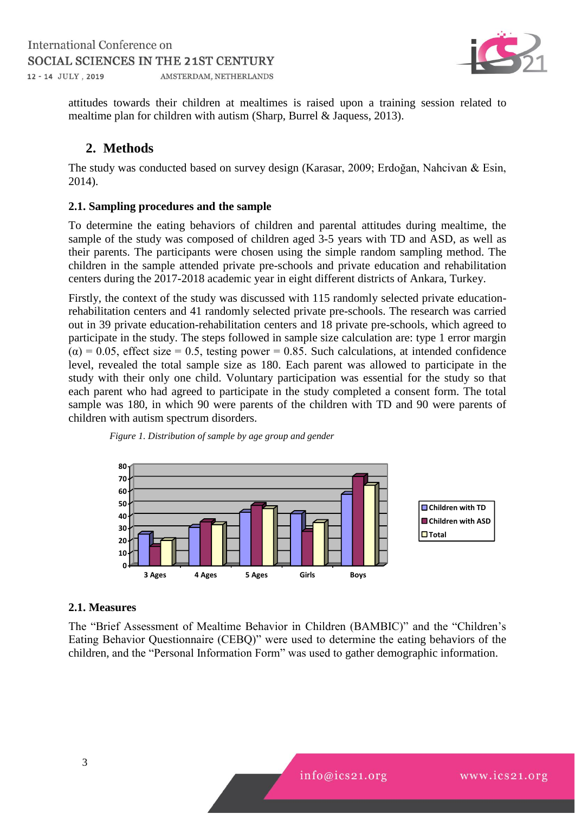

attitudes towards their children at mealtimes is raised upon a training session related to mealtime plan for children with autism (Sharp, Burrel & Jaquess, 2013).

## **2. Methods**

The study was conducted based on survey design (Karasar, 2009; Erdoğan, Nahcivan & Esin, 2014).

#### **2.1. Sampling procedures and the sample**

To determine the eating behaviors of children and parental attitudes during mealtime, the sample of the study was composed of children aged 3-5 years with TD and ASD, as well as their parents. The participants were chosen using the simple random sampling method. The children in the sample attended private pre-schools and private education and rehabilitation centers during the 2017-2018 academic year in eight different districts of Ankara, Turkey.

Firstly, the context of the study was discussed with 115 randomly selected private educationrehabilitation centers and 41 randomly selected private pre-schools. The research was carried out in 39 private education-rehabilitation centers and 18 private pre-schools, which agreed to participate in the study. The steps followed in sample size calculation are: type 1 error margin  $(\alpha) = 0.05$ , effect size = 0.5, testing power = 0.85. Such calculations, at intended confidence level, revealed the total sample size as 180. Each parent was allowed to participate in the study with their only one child. Voluntary participation was essential for the study so that each parent who had agreed to participate in the study completed a consent form. The total sample was 180, in which 90 were parents of the children with TD and 90 were parents of children with autism spectrum disorders.





## **2.1. Measures**

The "Brief Assessment of Mealtime Behavior in Children (BAMBIC)" and the "Children's Eating Behavior Questionnaire (CEBQ)" were used to determine the eating behaviors of the children, and the "Personal Information Form" was used to gather demographic information.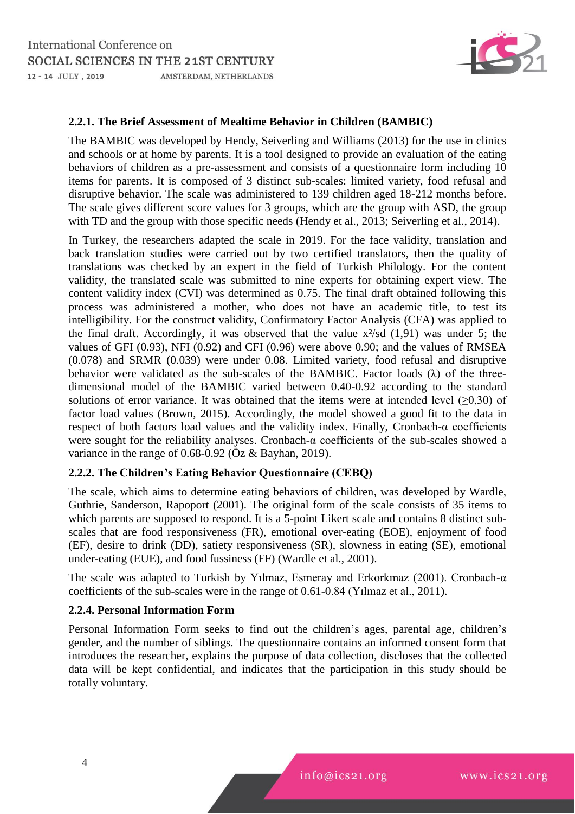

#### **2.2.1. The Brief Assessment of Mealtime Behavior in Children (BAMBIC)**

The BAMBIC was developed by Hendy, Seiverling and Williams (2013) for the use in clinics and schools or at home by parents. It is a tool designed to provide an evaluation of the eating behaviors of children as a pre-assessment and consists of a questionnaire form including 10 items for parents. It is composed of 3 distinct sub-scales: limited variety, food refusal and disruptive behavior. The scale was administered to 139 children aged 18-212 months before. The scale gives different score values for 3 groups, which are the group with ASD, the group with TD and the group with those specific needs (Hendy et al., 2013; Seiverling et al., 2014).

In Turkey, the researchers adapted the scale in 2019. For the face validity, translation and back translation studies were carried out by two certified translators, then the quality of translations was checked by an expert in the field of Turkish Philology. For the content validity, the translated scale was submitted to nine experts for obtaining expert view. The content validity index (CVI) was determined as 0.75. The final draft obtained following this process was administered a mother, who does not have an academic title, to test its intelligibility. For the construct validity, Confirmatory Factor Analysis (CFA) was applied to the final draft. Accordingly, it was observed that the value  $x^2$ /sd (1,91) was under 5; the values of GFI (0.93), NFI (0.92) and CFI (0.96) were above 0.90; and the values of RMSEA (0.078) and SRMR (0.039) were under 0.08. Limited variety, food refusal and disruptive behavior were validated as the sub-scales of the BAMBIC. Factor loads  $(\lambda)$  of the threedimensional model of the BAMBIC varied between 0.40-0.92 according to the standard solutions of error variance. It was obtained that the items were at intended level  $($ >0,30) of factor load values (Brown, 2015). Accordingly, the model showed a good fit to the data in respect of both factors load values and the validity index. Finally, Cronbach-α coefficients were sought for the reliability analyses. Cronbach-α coefficients of the sub-scales showed a variance in the range of 0.68-0.92 (Öz & Bayhan, 2019).

#### **2.2.2. The Children's Eating Behavior Questionnaire (CEBQ)**

The scale, which aims to determine eating behaviors of children, was developed by Wardle, Guthrie, Sanderson, Rapoport (2001). The original form of the scale consists of 35 items to which parents are supposed to respond. It is a 5-point Likert scale and contains 8 distinct subscales that are food responsiveness (FR), emotional over-eating (EOE), enjoyment of food (EF), desire to drink (DD), satiety responsiveness (SR), slowness in eating (SE), emotional under-eating (EUE), and food fussiness (FF) (Wardle et al., 2001).

The scale was adapted to Turkish by Yılmaz, Esmeray and Erkorkmaz (2001). Cronbach-α coefficients of the sub-scales were in the range of 0.61-0.84 (Yılmaz et al., 2011).

#### **2.2.4. Personal Information Form**

Personal Information Form seeks to find out the children's ages, parental age, children's gender, and the number of siblings. The questionnaire contains an informed consent form that introduces the researcher, explains the purpose of data collection, discloses that the collected data will be kept confidential, and indicates that the participation in this study should be totally voluntary.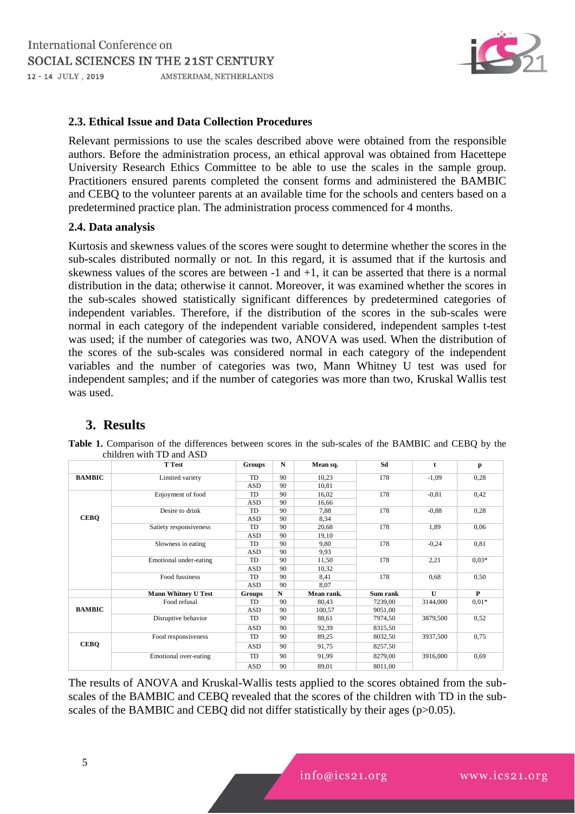

#### **2.3. Ethical Issue and Data Collection Procedures**

Relevant permissions to use the scales described above were obtained from the responsible authors. Before the administration process, an ethical approval was obtained from Hacettepe University Research Ethics Committee to be able to use the scales in the sample group. Practitioners ensured parents completed the consent forms and administered the BAMBIC and CEBQ to the volunteer parents at an available time for the schools and centers based on a predetermined practice plan. The administration process commenced for 4 months.

#### **2.4. Data analysis**

Kurtosis and skewness values of the scores were sought to determine whether the scores in the sub-scales distributed normally or not. In this regard, it is assumed that if the kurtosis and skewness values of the scores are between  $-1$  and  $+1$ , it can be asserted that there is a normal distribution in the data; otherwise it cannot. Moreover, it was examined whether the scores in the sub-scales showed statistically significant differences by predetermined categories of independent variables. Therefore, if the distribution of the scores in the sub-scales were normal in each category of the independent variable considered, independent samples t-test was used; if the number of categories was two, ANOVA was used. When the distribution of the scores of the sub-scales was considered normal in each category of the independent variables and the number of categories was two, Mann Whitney U test was used for independent samples; and if the number of categories was more than two, Kruskal Wallis test was used.

## **3. Results**

|               | <b>T</b> Test              | <b>Groups</b> | $\mathbf N$ | Mean sq.   | Sd       | t            | p            |
|---------------|----------------------------|---------------|-------------|------------|----------|--------------|--------------|
| <b>BAMBIC</b> | Limited variety            | TD            | 90          | 10,23      | 178      | $-1,09$      | 0,28         |
|               |                            | <b>ASD</b>    | 90          | 10,81      |          |              |              |
|               | Enjoyment of food          | TD            | 90          | 16,02      | 178      | $-0.81$      | 0,42         |
|               |                            | <b>ASD</b>    | 90          | 16,66      |          |              |              |
|               | Desire to drink            | TD            | 90          | 7,88       | 178      | $-0.88$      | 0,28         |
| <b>CEBQ</b>   |                            | <b>ASD</b>    | 90          | 8,34       |          |              |              |
|               | Satiety responsiveness     | TD            | 90          | 20,68      | 178      | 1,89         | 0,06         |
|               |                            | <b>ASD</b>    | 90          | 19,10      |          |              |              |
|               | Slowness in eating         | TD            | 90          | 9,80       | 178      | $-0,24$      | 0.81         |
|               |                            | <b>ASD</b>    | 90          | 9,93       |          |              |              |
|               | Emotional under-eating     | TD            | 90          | 11,50      | 178      | 2,21         | $0.03*$      |
|               |                            | <b>ASD</b>    | 90          | 10,32      |          |              |              |
|               | Food fussiness             | TD            | 90          | 8,41       | 178      | 0,68         | 0,50         |
|               |                            | <b>ASD</b>    | 90          | 8,07       |          |              |              |
|               | <b>Mann Whitney U Test</b> | Groups        | $\mathbf N$ | Mean rank. | Sum rank | $\mathbf{U}$ | $\mathbf{P}$ |
|               | Food refusal               | TD            | 90          | 80,43      | 7239,00  | 3144,000     | $0.01*$      |
| <b>BAMBIC</b> |                            | <b>ASD</b>    | 90          | 100,57     | 9051,00  |              |              |
|               | Disruptive behavior        | TD            | 90          | 88,61      | 7974,50  | 3879,500     | 0,52         |
|               |                            | <b>ASD</b>    | 90          | 92,39      | 8315,50  |              |              |
|               | Food responsiveness        | TD            | 90          | 89,25      | 8032,50  | 3937,500     | 0.75         |
| <b>CEBO</b>   |                            | ASD           | 90          | 91,75      | 8257,50  |              |              |
|               | Emotional over-eating      | TD            | 90          | 91,99      | 8279,00  | 3916,000     | 0.69         |
|               |                            | <b>ASD</b>    | 90          | 89,01      | 8011,00  |              |              |

**Table 1.** Comparison of the differences between scores in the sub-scales of the BAMBIC and CEBQ by the children with TD and ASD

The results of ANOVA and Kruskal-Wallis tests applied to the scores obtained from the subscales of the BAMBIC and CEBQ revealed that the scores of the children with TD in the subscales of the BAMBIC and CEBQ did not differ statistically by their ages (p>0.05).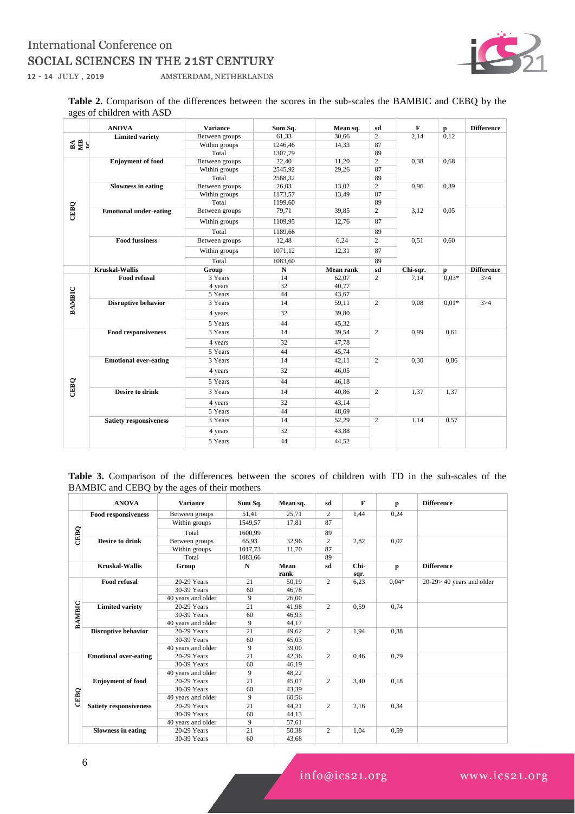#### International Conference on SOCIAL SCIENCES IN THE 21ST CENTURY 12 - 14 JULY, 2019 AMSTERDAM, NETHERLANDS



**Table 2.** Comparison of the differences between the scores in the sub-scales the BAMBIC and CEBQ by the ages of children with ASD

|               | <b>ANOVA</b>                  | <b>Variance</b> | Sum Sq.   | Mean sq.         | sd             | $\mathbf{F}$ | $\mathbf{p}$ | <b>Difference</b> |
|---------------|-------------------------------|-----------------|-----------|------------------|----------------|--------------|--------------|-------------------|
|               | <b>Limited variety</b>        | Between groups  | 61,33     | 30,66            | $\overline{2}$ | 2,14         | 0,12         |                   |
| 접몇되           |                               | Within groups   | 1246,46   | 14,33            | 87             |              |              |                   |
|               |                               | Total           | 1307,79   |                  | 89             |              |              |                   |
|               | <b>Enjoyment</b> of food      | Between groups  | 22,40     | 11,20            | $\overline{c}$ | 0,38         | 0.68         |                   |
|               |                               | Within groups   | 2545,92   | 29,26            | 87             |              |              |                   |
|               |                               | Total           | 2568,32   |                  | 89             |              |              |                   |
|               | <b>Slowness in eating</b>     | Between groups  | 26,03     | 13,02            | $\overline{c}$ | 0.96         | 0,39         |                   |
|               |                               | Within groups   | 1173,57   | 13,49            | 87             |              |              |                   |
|               |                               | Total           | 1199,60   |                  | 89             |              |              |                   |
| CEBQ          | <b>Emotional under-eating</b> | Between groups  | 79,71     | 39,85            | $\overline{2}$ | 3,12         | 0,05         |                   |
|               |                               | Within groups   | 1109,95   | 12,76            | 87             |              |              |                   |
|               |                               | Total           | 1189,66   |                  | 89             |              |              |                   |
|               | <b>Food fussiness</b>         | Between groups  | 12,48     | 6,24             | $\overline{2}$ | 0,51         | 0,60         |                   |
|               |                               | Within groups   | 1071,12   | 12,31            | 87             |              |              |                   |
|               |                               | Total           | 1083.60   |                  | 89             |              |              |                   |
|               | <b>Kruskal-Wallis</b>         | Group           | ${\bf N}$ | <b>Mean rank</b> | sd             | Chi-sqr.     | $\mathbf{p}$ | <b>Difference</b> |
|               | <b>Food refusal</b>           | 3 Years         | 14        | 62.07            | $\overline{2}$ | 7,14         | $0.03*$      | 3 > 4             |
|               |                               | 4 years         | 32        | 40,77            |                |              |              |                   |
|               |                               | 5 Years         | 44        | 43,67            |                |              |              |                   |
| <b>BAMBIC</b> | <b>Disruptive behavior</b>    | 3 Years         | 14        | 59,11            | $\overline{c}$ | 9,08         | $0.01*$      | 3 > 4             |
|               |                               | 4 years         | 32        | 39,80            |                |              |              |                   |
|               |                               | 5 Years         | 44        | 45,32            |                |              |              |                   |
|               | <b>Food responsiveness</b>    | 3 Years         | 14        | 39,54            | $\mathbf{2}$   | 0.99         | 0,61         |                   |
|               |                               | 4 years         | 32        | 47,78            |                |              |              |                   |
|               |                               | 5 Years         | 44        | 45,74            |                |              |              |                   |
|               | <b>Emotional over-eating</b>  | 3 Years         | 14        | 42,11            | $\overline{2}$ | 0.30         | 0,86         |                   |
|               |                               | 4 years         | 32        | 46.05            |                |              |              |                   |
| CEBQ          |                               | 5 Years         | 44        | 46,18            |                |              |              |                   |
|               | <b>Desire to drink</b>        | 3 Years         | 14        | 40,86            | 2              | 1.37         | 1,37         |                   |
|               |                               | 4 years         | 32        | 43,14            |                |              |              |                   |
|               |                               | 5 Years         | 44        | 48,69            |                |              |              |                   |
|               | <b>Satiety responsiveness</b> | 3 Years         | 14        | 52,29            | 2              | 1,14         | 0,57         |                   |
|               |                               | 4 years         | 32        | 43,88            |                |              |              |                   |
|               |                               | 5 Years         | 44        | 44,52            |                |              |              |                   |

| <b>Table 3.</b> Comparison of the differences between the scores of children with TD in the sub-scales of the |  |  |  |  |  |  |  |
|---------------------------------------------------------------------------------------------------------------|--|--|--|--|--|--|--|
| BAMBIC and CEBQ by the ages of their mothers                                                                  |  |  |  |  |  |  |  |

|               | <b>ANOVA</b>                  | <b>Variance</b>    | Sum Sq. | Mean sq.     | sd             | F            | p       | <b>Difference</b>          |
|---------------|-------------------------------|--------------------|---------|--------------|----------------|--------------|---------|----------------------------|
|               | <b>Food responsiveness</b>    | Between groups     | 51,41   | 25,71        | 2              | 1,44         | 0,24    |                            |
|               |                               | Within groups      | 1549,57 | 17,81        | 87             |              |         |                            |
| CEBQ          |                               | Total              | 1600,99 |              | 89             |              |         |                            |
|               | <b>Desire to drink</b>        | Between groups     | 65,93   | 32,96        | $\overline{c}$ | 2,82         | 0.07    |                            |
|               |                               | Within groups      | 1017,73 | 11,70        | 87             |              |         |                            |
|               |                               | Total              | 1083,66 |              | 89             |              |         |                            |
|               | <b>Kruskal-Wallis</b>         | Group              | N       | Mean<br>rank | sd             | Chi-<br>sqr. | p       | <b>Difference</b>          |
|               | <b>Food refusal</b>           | 20-29 Years        | 21      | 50.19        | 2              | 6,23         | $0.04*$ | $20-29>40$ years and older |
|               |                               | 30-39 Years        | 60      | 46,78        |                |              |         |                            |
|               |                               | 40 years and older | 9       | 26,00        |                |              |         |                            |
| <b>BAMBIC</b> | <b>Limited variety</b>        | 20-29 Years        | 21      | 41,98        | 2              | 0,59         | 0.74    |                            |
|               |                               | 30-39 Years        | 60      | 46,93        |                |              |         |                            |
|               |                               | 40 years and older | 9       | 44,17        |                |              |         |                            |
|               | <b>Disruptive behavior</b>    | 20-29 Years        | 21      | 49.62        | $\overline{2}$ | 1.94         | 0.38    |                            |
|               |                               | 30-39 Years        | 60      | 45.03        |                |              |         |                            |
|               |                               | 40 years and older | 9       | 39.00        |                |              |         |                            |
|               | <b>Emotional over-eating</b>  | 20-29 Years        | 21      | 42,36        | $\overline{2}$ | 0.46         | 0.79    |                            |
|               |                               | 30-39 Years        | 60      | 46,19        |                |              |         |                            |
|               |                               | 40 years and older | 9       | 48,22        |                |              |         |                            |
|               | <b>Enjoyment of food</b>      | 20-29 Years        | 21      | 45,07        | $\mathbf{2}$   | 3,40         | 0,18    |                            |
|               |                               | 30-39 Years        | 60      | 43,39        |                |              |         |                            |
| CEBQ          |                               | 40 years and older | 9       | 60,56        |                |              |         |                            |
|               | <b>Satiety responsiveness</b> | 20-29 Years        | 21      | 44,21        | 2              | 2,16         | 0.34    |                            |
|               |                               | 30-39 Years        | 60      | 44,13        |                |              |         |                            |
|               |                               | 40 years and older | 9       | 57,61        |                |              |         |                            |
|               | <b>Slowness in eating</b>     | 20-29 Years        | 21      | 50,38        | $\overline{c}$ | 1,04         | 0.59    |                            |
|               |                               | 30-39 Years        | 60      | 43,68        |                |              |         |                            |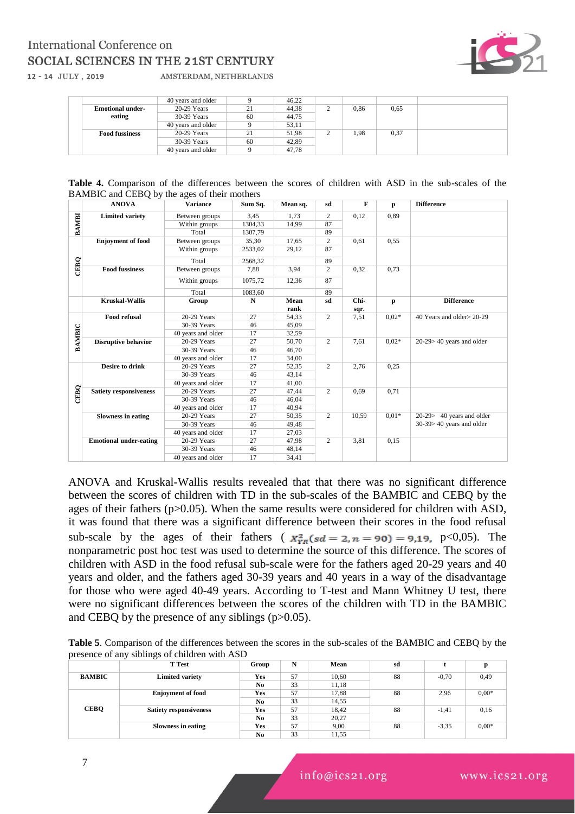# **International Conference on** SOCIAL SCIENCES IN THE 21ST CENTURY



12 - 14 JULY, 2019

AMSTERDAM, NETHERLANDS

|                         | 40 years and older |    | 46.22 |   |      |      |  |
|-------------------------|--------------------|----|-------|---|------|------|--|
| <b>Emotional under-</b> | $20-29$ Years      | 21 | 44,38 | ∸ | 0,86 | 0.65 |  |
| eating                  | 30-39 Years        | 60 | 44.75 |   |      |      |  |
|                         | 40 years and older |    | 53,11 |   |      |      |  |
| <b>Food fussiness</b>   | $20-29$ Years      | 21 | 51,98 |   | 1,98 | 0,37 |  |
|                         | 30-39 Years        | 60 | 42,89 |   |      |      |  |
|                         | 40 years and older |    | 47.78 |   |      |      |  |

| <b>Table 4.</b> Comparison of the differences between the scores of children with ASD in the sub-scales of the |  |  |  |  |  |  |  |  |
|----------------------------------------------------------------------------------------------------------------|--|--|--|--|--|--|--|--|
| BAMBIC and CEBQ by the ages of their mothers                                                                   |  |  |  |  |  |  |  |  |

|        | <b>ANOVA</b>                  | <b>Variance</b>    | Sum Sq. | Mean sq. | sd             | F     | p       | <b>Difference</b>            |
|--------|-------------------------------|--------------------|---------|----------|----------------|-------|---------|------------------------------|
|        | <b>Limited variety</b>        | Between groups     | 3,45    | 1,73     | 2              | 0,12  | 0.89    |                              |
| BAMBI  |                               | Within groups      | 1304,33 | 14,99    | 87             |       |         |                              |
|        |                               | Total              | 1307,79 |          | 89             |       |         |                              |
|        | <b>Enjoyment of food</b>      | Between groups     | 35,30   | 17,65    | $\overline{2}$ | 0,61  | 0,55    |                              |
|        |                               | Within groups      | 2533,02 | 29,12    | 87             |       |         |                              |
|        |                               | Total              | 2568,32 |          | 89             |       |         |                              |
| CEBQ   | <b>Food fussiness</b>         | Between groups     | 7,88    | 3,94     | $\overline{c}$ | 0,32  | 0.73    |                              |
|        |                               | Within groups      | 1075,72 | 12,36    | 87             |       |         |                              |
|        |                               | Total              | 1083,60 |          | 89             |       |         |                              |
|        | <b>Kruskal-Wallis</b>         | Group              | N       | Mean     | sd             | Chi-  | p       | <b>Difference</b>            |
|        |                               |                    |         | rank     |                | sqr.  |         |                              |
|        | <b>Food refusal</b>           | 20-29 Years        | 27      | 54.33    | $\overline{c}$ | 7,51  | $0.02*$ | 40 Years and older > 20-29   |
|        |                               | 30-39 Years        | 46      | 45,09    |                |       |         |                              |
|        |                               | 40 years and older | 17      | 32,59    |                |       |         |                              |
| BAMBIC | <b>Disruptive behavior</b>    | 20-29 Years        | 27      | 50,70    | 2              | 7,61  | $0.02*$ | $20-29>40$ years and older   |
|        |                               | 30-39 Years        | 46      | 46,70    |                |       |         |                              |
|        |                               | 40 years and older | 17      | 34,00    |                |       |         |                              |
|        | <b>Desire to drink</b>        | 20-29 Years        | 27      | 52,35    | 2              | 2,76  | 0.25    |                              |
|        |                               | 30-39 Years        | 46      | 43,14    |                |       |         |                              |
|        |                               | 40 years and older | 17      | 41,00    |                |       |         |                              |
|        | <b>Satiety responsiveness</b> | 20-29 Years        | 27      | 47,44    | $\overline{c}$ | 0,69  | 0,71    |                              |
| CEBQ   |                               | 30-39 Years        | 46      | 46,04    |                |       |         |                              |
|        |                               | 40 years and older | 17      | 40,94    |                |       |         |                              |
|        | <b>Slowness in eating</b>     | 20-29 Years        | 27      | 50,35    | $\overline{c}$ | 10,59 | $0.01*$ | 20-29> 40 years and older    |
|        |                               | 30-39 Years        | 46      | 49,48    |                |       |         | $30-39 > 40$ years and older |
|        |                               | 40 years and older | 17      | 27,03    |                |       |         |                              |
|        | <b>Emotional under-eating</b> | 20-29 Years        | 27      | 47,98    | 2              | 3,81  | 0,15    |                              |
|        |                               | 30-39 Years        | 46      | 48,14    |                |       |         |                              |
|        |                               | 40 years and older | 17      | 34,41    |                |       |         |                              |

ANOVA and Kruskal-Wallis results revealed that that there was no significant difference between the scores of children with TD in the sub-scales of the BAMBIC and CEBQ by the ages of their fathers (p>0.05). When the same results were considered for children with ASD, it was found that there was a significant difference between their scores in the food refusal sub-scale by the ages of their fathers ( $x_{rr}^2$ ( $sd = 2$ ,  $n = 90$ ) = 9,19, p<0,05). The nonparametric post hoc test was used to determine the source of this difference. The scores of children with ASD in the food refusal sub-scale were for the fathers aged 20-29 years and 40 years and older, and the fathers aged 30-39 years and 40 years in a way of the disadvantage for those who were aged 40-49 years. According to T-test and Mann Whitney U test, there were no significant differences between the scores of the children with TD in the BAMBIC and CEBQ by the presence of any siblings (p>0.05).

**Table 5**. Comparison of the differences between the scores in the sub-scales of the BAMBIC and CEBQ by the presence of any siblings of children with ASD

|               | <b>T</b> Test                 | Group                    | N  | Mean  | sd      |         |         |
|---------------|-------------------------------|--------------------------|----|-------|---------|---------|---------|
| <b>BAMBIC</b> | <b>Limited variety</b>        | Yes                      | 57 | 10,60 | 88      | $-0,70$ | 0,49    |
|               |                               | N <sub>0</sub>           | 33 | 11,18 |         |         |         |
|               | <b>Enjoyment of food</b>      | 17,88<br>Yes<br>57<br>88 |    | 2,96  | $0.00*$ |         |         |
|               |                               | No                       | 33 | 14,55 |         |         |         |
| <b>CEBQ</b>   | <b>Satiety responsiveness</b> | Yes                      | 57 | 18,42 | 88      | $-1,41$ | 0,16    |
|               |                               | N <sub>0</sub>           | 33 | 20,27 |         |         |         |
|               | Slowness in eating            | Yes                      | 57 | 9,00  | 88      | $-3,35$ | $0.00*$ |
|               |                               | N <sub>0</sub>           | 33 | 11,55 |         |         |         |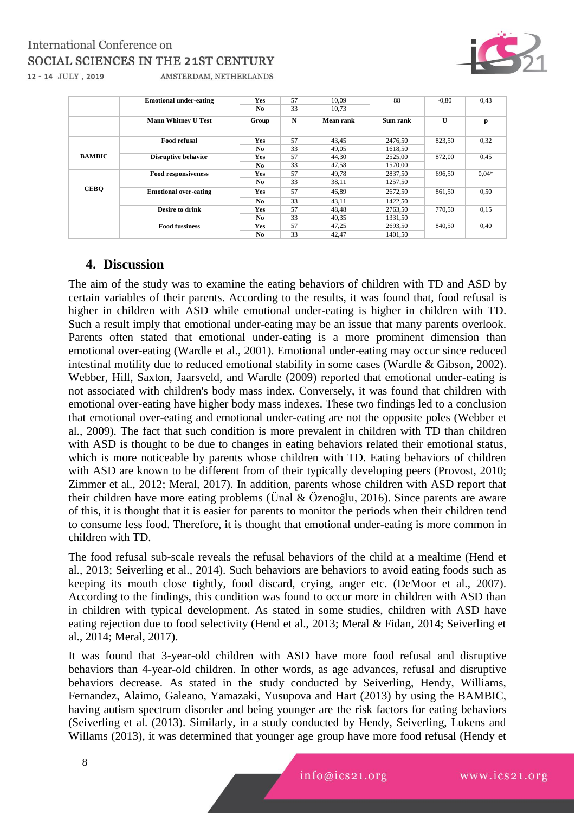## International Conference on SOCIAL SCIENCES IN THE 21ST CENTURY 12 - 14 JULY, 2019



AMSTERDAM, NETHERLANDS

|               | <b>Emotional under-eating</b> | <b>Yes</b>     | 57 | 10.09     | 88       | $-0.80$ | 0.43    |
|---------------|-------------------------------|----------------|----|-----------|----------|---------|---------|
|               |                               | N <sub>0</sub> | 33 | 10.73     |          |         |         |
|               | <b>Mann Whitney U Test</b>    | Group          | N  | Mean rank | Sum rank | U       | p       |
|               | <b>Food refusal</b>           | <b>Yes</b>     | 57 | 43.45     | 2476.50  | 823,50  | 0,32    |
| <b>BAMBIC</b> |                               | No.            | 33 | 49.05     | 1618.50  |         |         |
|               | <b>Disruptive behavior</b>    | Yes            | 57 | 44.30     | 2525,00  | 872,00  | 0,45    |
|               |                               | No.            | 33 | 47,58     | 1570,00  |         |         |
|               | <b>Food responsiveness</b>    | <b>Yes</b>     | 57 | 49.78     | 2837,50  | 696,50  | $0.04*$ |
|               |                               | N <sub>0</sub> | 33 | 38,11     | 1257,50  |         |         |
| <b>CEBO</b>   | <b>Emotional over-eating</b>  | <b>Yes</b>     | 57 | 46.89     | 2672.50  | 861,50  | 0,50    |
|               |                               | No.            | 33 | 43.11     | 1422,50  |         |         |
|               | <b>Desire to drink</b>        | <b>Yes</b>     | 57 | 48.48     | 2763,50  | 770,50  | 0,15    |
|               |                               | No.            | 33 | 40.35     | 1331.50  |         |         |
|               | <b>Food fussiness</b>         | <b>Yes</b>     | 57 | 47,25     | 2693.50  | 840,50  | 0,40    |
|               |                               | N <sub>0</sub> | 33 | 42,47     | 1401.50  |         |         |

## **4. Discussion**

The aim of the study was to examine the eating behaviors of children with TD and ASD by certain variables of their parents. According to the results, it was found that, food refusal is higher in children with ASD while emotional under-eating is higher in children with TD. Such a result imply that emotional under-eating may be an issue that many parents overlook. Parents often stated that emotional under-eating is a more prominent dimension than emotional over-eating (Wardle et al., 2001). Emotional under-eating may occur since reduced intestinal motility due to reduced emotional stability in some cases (Wardle & Gibson, 2002). Webber, Hill, Saxton, Jaarsveld, and Wardle (2009) reported that emotional under-eating is not associated with children's body mass index. Conversely, it was found that children with emotional over-eating have higher body mass indexes. These two findings led to a conclusion that emotional over-eating and emotional under-eating are not the opposite poles (Webber et al., 2009). The fact that such condition is more prevalent in children with TD than children with ASD is thought to be due to changes in eating behaviors related their emotional status, which is more noticeable by parents whose children with TD. Eating behaviors of children with ASD are known to be different from of their typically developing peers (Provost, 2010; Zimmer et al., 2012; Meral, 2017). In addition, parents whose children with ASD report that their children have more eating problems (Ünal & Özenoğlu, 2016). Since parents are aware of this, it is thought that it is easier for parents to monitor the periods when their children tend to consume less food. Therefore, it is thought that emotional under-eating is more common in children with TD.

The food refusal sub-scale reveals the refusal behaviors of the child at a mealtime (Hend et al., 2013; Seiverling et al., 2014). Such behaviors are behaviors to avoid eating foods such as keeping its mouth close tightly, food discard, crying, anger etc. (DeMoor et al., 2007). According to the findings, this condition was found to occur more in children with ASD than in children with typical development. As stated in some studies, children with ASD have eating rejection due to food selectivity (Hend et al., 2013; Meral & Fidan, 2014; Seiverling et al., 2014; Meral, 2017).

It was found that 3-year-old children with ASD have more food refusal and disruptive behaviors than 4-year-old children. In other words, as age advances, refusal and disruptive behaviors decrease. As stated in the study conducted by Seiverling, Hendy, Williams, Fernandez, Alaimo, Galeano, Yamazaki, Yusupova and Hart (2013) by using the BAMBIC, having autism spectrum disorder and being younger are the risk factors for eating behaviors (Seiverling et al. (2013). Similarly, in a study conducted by Hendy, Seiverling, Lukens and Willams (2013), it was determined that younger age group have more food refusal (Hendy et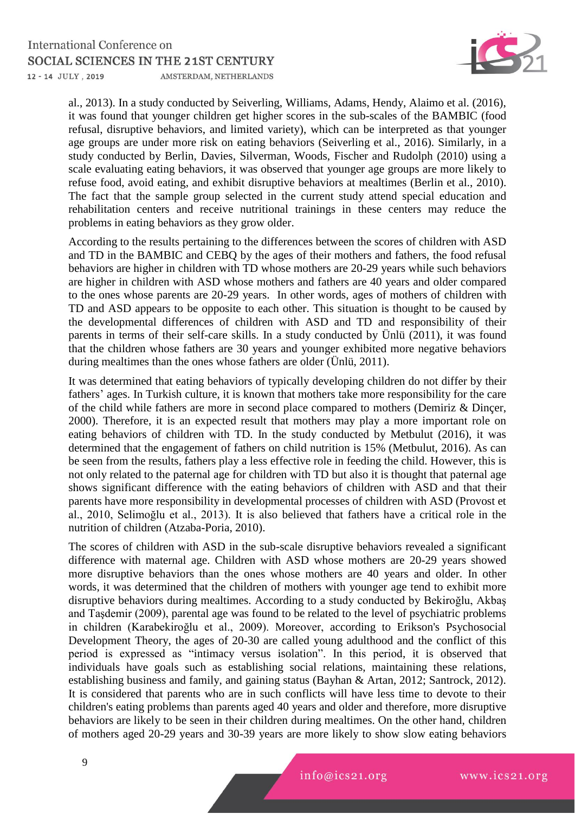

al., 2013). In a study conducted by Seiverling, Williams, Adams, Hendy, Alaimo et al. (2016), it was found that younger children get higher scores in the sub-scales of the BAMBIC (food refusal, disruptive behaviors, and limited variety), which can be interpreted as that younger age groups are under more risk on eating behaviors (Seiverling et al., 2016). Similarly, in a study conducted by Berlin, Davies, Silverman, Woods, Fischer and Rudolph (2010) using a scale evaluating eating behaviors, it was observed that younger age groups are more likely to refuse food, avoid eating, and exhibit disruptive behaviors at mealtimes (Berlin et al., 2010). The fact that the sample group selected in the current study attend special education and rehabilitation centers and receive nutritional trainings in these centers may reduce the problems in eating behaviors as they grow older.

According to the results pertaining to the differences between the scores of children with ASD and TD in the BAMBIC and CEBQ by the ages of their mothers and fathers, the food refusal behaviors are higher in children with TD whose mothers are 20-29 years while such behaviors are higher in children with ASD whose mothers and fathers are 40 years and older compared to the ones whose parents are 20-29 years. In other words, ages of mothers of children with TD and ASD appears to be opposite to each other. This situation is thought to be caused by the developmental differences of children with ASD and TD and responsibility of their parents in terms of their self-care skills. In a study conducted by Ünlü (2011), it was found that the children whose fathers are 30 years and younger exhibited more negative behaviors during mealtimes than the ones whose fathers are older (Ünlü, 2011).

It was determined that eating behaviors of typically developing children do not differ by their fathers' ages. In Turkish culture, it is known that mothers take more responsibility for the care of the child while fathers are more in second place compared to mothers (Demiriz & Dinçer, 2000). Therefore, it is an expected result that mothers may play a more important role on eating behaviors of children with TD. In the study conducted by Metbulut (2016), it was determined that the engagement of fathers on child nutrition is 15% (Metbulut, 2016). As can be seen from the results, fathers play a less effective role in feeding the child. However, this is not only related to the paternal age for children with TD but also it is thought that paternal age shows significant difference with the eating behaviors of children with ASD and that their parents have more responsibility in developmental processes of children with ASD (Provost et al., 2010, Selimoğlu et al., 2013). It is also believed that fathers have a critical role in the nutrition of children (Atzaba-Poria, 2010).

The scores of children with ASD in the sub-scale disruptive behaviors revealed a significant difference with maternal age. Children with ASD whose mothers are 20-29 years showed more disruptive behaviors than the ones whose mothers are 40 years and older. In other words, it was determined that the children of mothers with younger age tend to exhibit more disruptive behaviors during mealtimes. According to a study conducted by Bekiroğlu, Akbaş and Taşdemir (2009), parental age was found to be related to the level of psychiatric problems in children (Karabekiroğlu et al., 2009). Moreover, according to Erikson's Psychosocial Development Theory, the ages of 20-30 are called young adulthood and the conflict of this period is expressed as "intimacy versus isolation". In this period, it is observed that individuals have goals such as establishing social relations, maintaining these relations, establishing business and family, and gaining status (Bayhan & Artan, 2012; Santrock, 2012). It is considered that parents who are in such conflicts will have less time to devote to their children's eating problems than parents aged 40 years and older and therefore, more disruptive behaviors are likely to be seen in their children during mealtimes. On the other hand, children of mothers aged 20-29 years and 30-39 years are more likely to show slow eating behaviors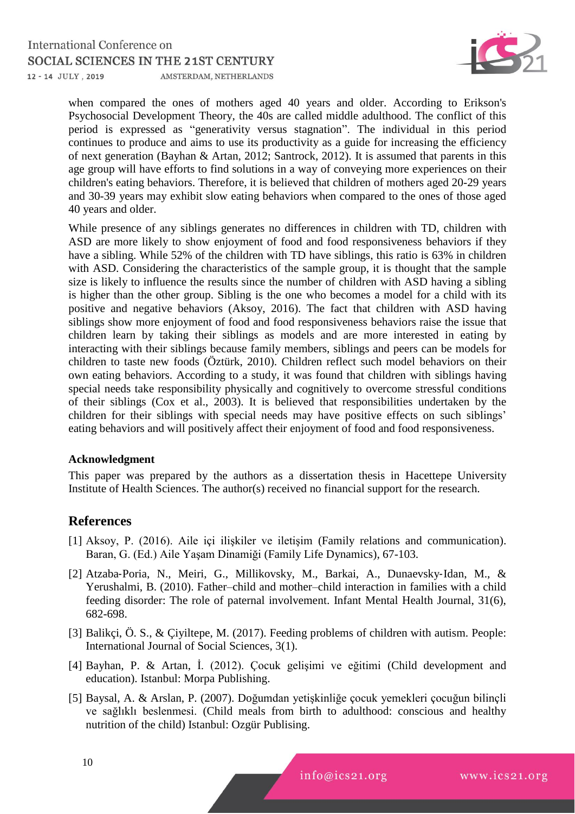#### **International Conference on** SOCIAL SCIENCES IN THE 21ST CENTURY 12 - 14 JULY, 2019 AMSTERDAM, NETHERLANDS



when compared the ones of mothers aged 40 years and older. According to Erikson's Psychosocial Development Theory, the 40s are called middle adulthood. The conflict of this period is expressed as "generativity versus stagnation". The individual in this period continues to produce and aims to use its productivity as a guide for increasing the efficiency of next generation (Bayhan & Artan, 2012; Santrock, 2012). It is assumed that parents in this age group will have efforts to find solutions in a way of conveying more experiences on their children's eating behaviors. Therefore, it is believed that children of mothers aged 20-29 years and 30-39 years may exhibit slow eating behaviors when compared to the ones of those aged 40 years and older.

While presence of any siblings generates no differences in children with TD, children with ASD are more likely to show enjoyment of food and food responsiveness behaviors if they have a sibling. While 52% of the children with TD have siblings, this ratio is 63% in children with ASD. Considering the characteristics of the sample group, it is thought that the sample size is likely to influence the results since the number of children with ASD having a sibling is higher than the other group. Sibling is the one who becomes a model for a child with its positive and negative behaviors (Aksoy, 2016). The fact that children with ASD having siblings show more enjoyment of food and food responsiveness behaviors raise the issue that children learn by taking their siblings as models and are more interested in eating by interacting with their siblings because family members, siblings and peers can be models for children to taste new foods (Öztürk, 2010). Children reflect such model behaviors on their own eating behaviors. According to a study, it was found that children with siblings having special needs take responsibility physically and cognitively to overcome stressful conditions of their siblings (Cox et al., 2003). It is believed that responsibilities undertaken by the children for their siblings with special needs may have positive effects on such siblings' eating behaviors and will positively affect their enjoyment of food and food responsiveness.

## **Acknowledgment**

This paper was prepared by the authors as a dissertation thesis in Hacettepe University Institute of Health Sciences. The author(s) received no financial support for the research.

# **References**

- [1] Aksoy, P. (2016). Aile içi ilişkiler ve iletişim (Family relations and communication). Baran, G. (Ed.) Aile Yaşam Dinamiği (Family Life Dynamics), 67-103.
- [2] Atzaba‐Poria, N., Meiri, G., Millikovsky, M., Barkai, A., Dunaevsky‐Idan, M., & Yerushalmi, B. (2010). Father–child and mother–child interaction in families with a child feeding disorder: The role of paternal involvement. Infant Mental Health Journal, 31(6), 682-698.
- [3] Balikçi, Ö. S., & Çiyiltepe, M. (2017). Feeding problems of children with autism. People: International Journal of Social Sciences, 3(1).
- [4] Bayhan, P. & Artan, İ. (2012). Çocuk gelişimi ve eğitimi (Child development and education). Istanbul: Morpa Publishing.
- [5] Baysal, A. & Arslan, P. (2007). Doğumdan yetişkinliğe çocuk yemekleri çocuğun bilinçli ve sağlıklı beslenmesi. (Child meals from birth to adulthood: conscious and healthy nutrition of the child) Istanbul: Ozgür Publising.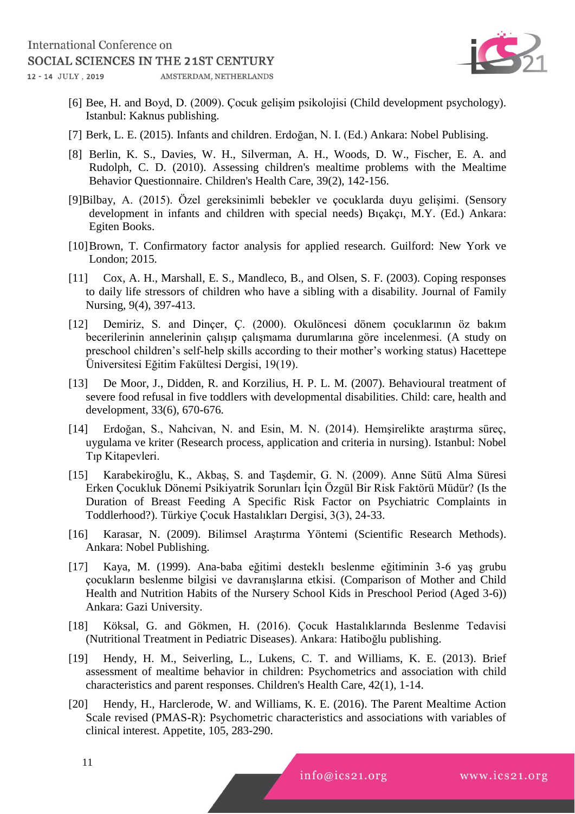

- [6] Bee, H. and Boyd, D. (2009). Çocuk gelişim psikolojisi (Child development psychology). Istanbul: Kaknus publishing.
- [7] Berk, L. E. (2015). Infants and children. Erdoğan, N. I. (Ed.) Ankara: Nobel Publising.
- [8] Berlin, K. S., Davies, W. H., Silverman, A. H., Woods, D. W., Fischer, E. A. and Rudolph, C. D. (2010). Assessing children's mealtime problems with the Mealtime Behavior Questionnaire. Children's Health Care, 39(2), 142-156.
- [9]Bilbay, A. (2015). Özel gereksinimli bebekler ve çocuklarda duyu gelişimi. (Sensory development in infants and children with special needs) Bıçakçı, M.Y. (Ed.) Ankara: Egiten Books.
- [10]Brown, T. Confirmatory factor analysis for applied research. Guilford: New York ve London; 2015.
- [11] Cox, A. H., Marshall, E. S., Mandleco, B., and Olsen, S. F. (2003). Coping responses to daily life stressors of children who have a sibling with a disability. Journal of Family Nursing, 9(4), 397-413.
- [12] Demiriz, S. and Dinçer, Ç. (2000). Okulöncesi dönem çocuklarının öz bakım becerilerinin annelerinin çalışıp çalışmama durumlarına göre incelenmesi. (A study on preschool children's self-help skills according to their mother's working status) Hacettepe Üniversitesi Eğitim Fakültesi Dergisi, 19(19).
- [13] De Moor, J., Didden, R. and Korzilius, H. P. L. M. (2007). Behavioural treatment of severe food refusal in five toddlers with developmental disabilities. Child: care, health and development, 33(6), 670-676.
- [14] Erdoğan, S., Nahcivan, N. and Esin, M. N. (2014). Hemşirelikte araştırma süreç, uygulama ve kriter (Research process, application and criteria in nursing). Istanbul: Nobel Tıp Kitapevleri.
- [15] Karabekiroğlu, K., Akbaş, S. and Taşdemir, G. N. (2009). Anne Sütü Alma Süresi Erken Çocukluk Dönemi Psikiyatrik Sorunları İçin Özgül Bir Risk Faktörü Müdür? (Is the Duration of Breast Feeding A Specific Risk Factor on Psychiatric Complaints in Toddlerhood?). Türkiye Çocuk Hastalıkları Dergisi, 3(3), 24-33.
- [16] Karasar, N. (2009). Bilimsel Araştırma Yöntemi (Scientific Research Methods). Ankara: Nobel Publishing.
- [17] Kaya, M. (1999). Ana-baba eğitimi desteklı beslenme eğitiminin 3-6 yaş grubu çocukların beslenme bilgisi ve davranışlarına etkisi. (Comparison of Mother and Child Health and Nutrition Habits of the Nursery School Kids in Preschool Period (Aged 3-6)) Ankara: Gazi University.
- [18] Köksal, G. and Gökmen, H. (2016). Çocuk Hastalıklarında Beslenme Tedavisi (Nutritional Treatment in Pediatric Diseases). Ankara: Hatiboğlu publishing.
- [19] Hendy, H. M., Seiverling, L., Lukens, C. T. and Williams, K. E. (2013). Brief assessment of mealtime behavior in children: Psychometrics and association with child characteristics and parent responses. Children's Health Care, 42(1), 1-14.
- [20] Hendy, H., Harclerode, W. and Williams, K. E. (2016). The Parent Mealtime Action Scale revised (PMAS-R): Psychometric characteristics and associations with variables of clinical interest. Appetite, 105, 283-290.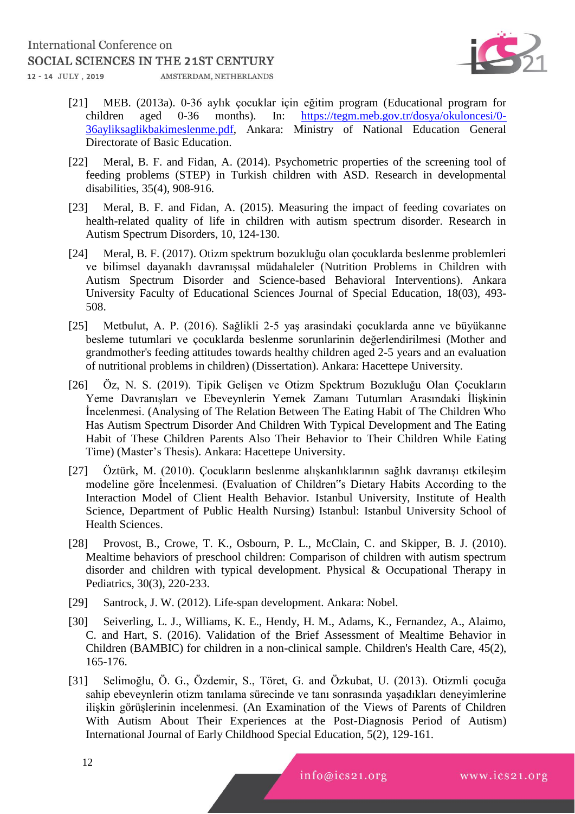

- [21] MEB. (2013a). 0-36 aylık çocuklar için eğitim program (Educational program for children aged 0-36 months). In: [https://tegm.meb.gov.tr/dosya/okuloncesi/0-](https://tegm.meb.gov.tr/dosya/okuloncesi/0-36ayliksaglikbakimeslenme.pdf) [36ayliksaglikbakimeslenme.pdf,](https://tegm.meb.gov.tr/dosya/okuloncesi/0-36ayliksaglikbakimeslenme.pdf) Ankara: Ministry of National Education General Directorate of Basic Education.
- [22] Meral, B. F. and Fidan, A. (2014). Psychometric properties of the screening tool of feeding problems (STEP) in Turkish children with ASD. Research in developmental disabilities, 35(4), 908-916.
- [23] Meral, B. F. and Fidan, A. (2015). Measuring the impact of feeding covariates on health-related quality of life in children with autism spectrum disorder. Research in Autism Spectrum Disorders, 10, 124-130.
- [24] Meral, B. F. (2017). Otizm spektrum bozukluğu olan çocuklarda beslenme problemleri ve bilimsel dayanaklı davranışsal müdahaleler (Nutrition Problems in Children with Autism Spectrum Disorder and Science-based Behavioral Interventions). Ankara University Faculty of Educational Sciences Journal of Special Education, 18(03), 493- 508.
- [25] Metbulut, A. P. (2016). Sağlikli 2-5 yaş arasindaki çocuklarda anne ve büyükanne besleme tutumlari ve çocuklarda beslenme sorunlarinin değerlendirilmesi (Mother and grandmother's feeding attitudes towards healthy children aged 2-5 years and an evaluation of nutritional problems in children) (Dissertation). Ankara: Hacettepe University.
- [26] Öz, N. S. (2019). Tipik Gelişen ve Otizm Spektrum Bozukluğu Olan Çocukların Yeme Davranışları ve Ebeveynlerin Yemek Zamanı Tutumları Arasındaki İlişkinin İncelenmesi. (Analysing of The Relation Between The Eating Habit of The Children Who Has Autism Spectrum Disorder And Children With Typical Development and The Eating Habit of These Children Parents Also Their Behavior to Their Children While Eating Time) (Master's Thesis). Ankara: Hacettepe University.
- [27] Öztürk, M. (2010). Çocukların beslenme alışkanlıklarının sağlık davranışı etkileşim modeline göre İncelenmesi. (Evaluation of Children"s Dietary Habits According to the Interaction Model of Client Health Behavior. Istanbul University, Institute of Health Science, Department of Public Health Nursing) Istanbul: Istanbul University School of Health Sciences.
- [28] Provost, B., Crowe, T. K., Osbourn, P. L., McClain, C. and Skipper, B. J. (2010). Mealtime behaviors of preschool children: Comparison of children with autism spectrum disorder and children with typical development. Physical & Occupational Therapy in Pediatrics, 30(3), 220-233.
- [29] Santrock, J. W. (2012). Life-span development. Ankara: Nobel.
- [30] Seiverling, L. J., Williams, K. E., Hendy, H. M., Adams, K., Fernandez, A., Alaimo, C. and Hart, S. (2016). Validation of the Brief Assessment of Mealtime Behavior in Children (BAMBIC) for children in a non-clinical sample. Children's Health Care, 45(2), 165-176.
- [31] Selimoğlu, Ö. G., Özdemir, S., Töret, G. and Özkubat, U. (2013). Otizmli çocuğa sahip ebeveynlerin otizm tanılama sürecinde ve tanı sonrasında yaşadıkları deneyimlerine ilişkin görüşlerinin incelenmesi. (An Examination of the Views of Parents of Children With Autism About Their Experiences at the Post-Diagnosis Period of Autism) International Journal of Early Childhood Special Education, 5(2), 129-161.